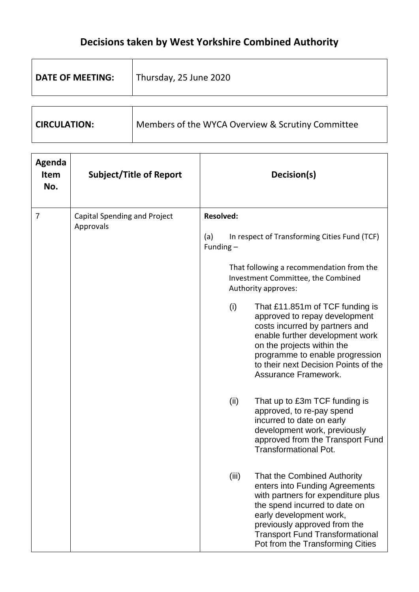## **Decisions taken by West Yorkshire Combined Authority**

| <b>DATE OF MEETING:</b> | Thursday, 25 June 2020                            |
|-------------------------|---------------------------------------------------|
|                         |                                                   |
| <b>CIRCULATION:</b>     | Members of the WYCA Overview & Scrutiny Committee |

| Agenda<br><b>Item</b><br>No. | <b>Subject/Title of Report</b>            | Decision(s)                                                                                                                                                                                                                                                                            |
|------------------------------|-------------------------------------------|----------------------------------------------------------------------------------------------------------------------------------------------------------------------------------------------------------------------------------------------------------------------------------------|
| 7                            | Capital Spending and Project<br>Approvals | <b>Resolved:</b><br>In respect of Transforming Cities Fund (TCF)<br>(a)<br>Funding $-$<br>That following a recommendation from the                                                                                                                                                     |
|                              |                                           | Investment Committee, the Combined<br>Authority approves:                                                                                                                                                                                                                              |
|                              |                                           | (i)<br>That £11.851m of TCF funding is<br>approved to repay development<br>costs incurred by partners and<br>enable further development work<br>on the projects within the<br>programme to enable progression<br>to their next Decision Points of the<br>Assurance Framework.          |
|                              |                                           | (ii)<br>That up to £3m TCF funding is<br>approved, to re-pay spend<br>incurred to date on early<br>development work, previously<br>approved from the Transport Fund<br><b>Transformational Pot.</b>                                                                                    |
|                              |                                           | (iii)<br>That the Combined Authority<br>enters into Funding Agreements<br>with partners for expenditure plus<br>the spend incurred to date on<br>early development work,<br>previously approved from the<br><b>Transport Fund Transformational</b><br>Pot from the Transforming Cities |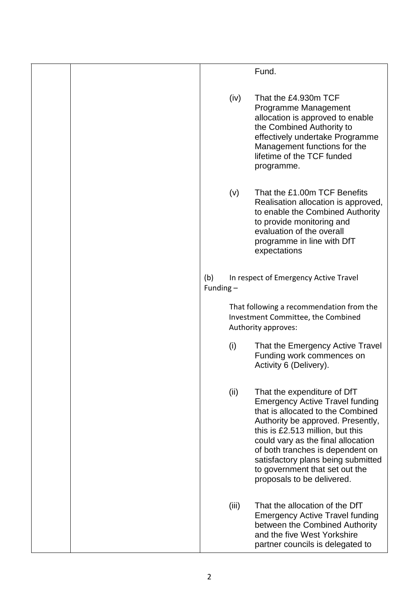|                    |       | Fund.                                                                                                                                                                                                                                                                                                                                                               |
|--------------------|-------|---------------------------------------------------------------------------------------------------------------------------------------------------------------------------------------------------------------------------------------------------------------------------------------------------------------------------------------------------------------------|
|                    |       |                                                                                                                                                                                                                                                                                                                                                                     |
|                    | (iv)  | That the £4.930m TCF<br>Programme Management<br>allocation is approved to enable<br>the Combined Authority to<br>effectively undertake Programme<br>Management functions for the<br>lifetime of the TCF funded<br>programme.                                                                                                                                        |
|                    | (v)   | That the £1.00m TCF Benefits<br>Realisation allocation is approved,<br>to enable the Combined Authority<br>to provide monitoring and<br>evaluation of the overall<br>programme in line with DfT<br>expectations                                                                                                                                                     |
| (b)<br>Funding $-$ |       | In respect of Emergency Active Travel                                                                                                                                                                                                                                                                                                                               |
|                    |       | That following a recommendation from the<br>Investment Committee, the Combined<br>Authority approves:                                                                                                                                                                                                                                                               |
|                    | (i)   | That the Emergency Active Travel<br>Funding work commences on<br>Activity 6 (Delivery).                                                                                                                                                                                                                                                                             |
|                    | (ii)  | That the expenditure of DfT<br><b>Emergency Active Travel funding</b><br>that is allocated to the Combined<br>Authority be approved. Presently,<br>this is £2.513 million, but this<br>could vary as the final allocation<br>of both tranches is dependent on<br>satisfactory plans being submitted<br>to government that set out the<br>proposals to be delivered. |
|                    | (iii) | That the allocation of the DfT<br><b>Emergency Active Travel funding</b><br>between the Combined Authority<br>and the five West Yorkshire<br>partner councils is delegated to                                                                                                                                                                                       |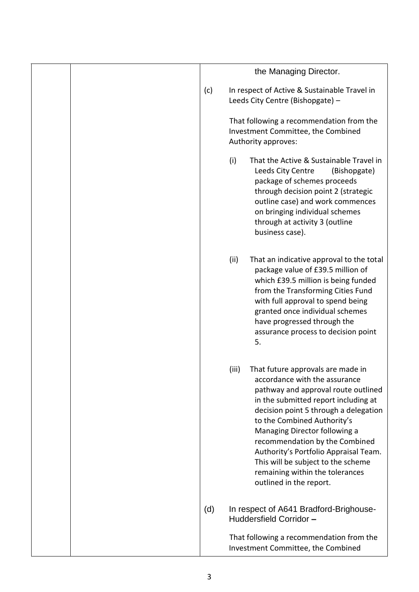|  |     |       | the Managing Director.                                                                                                                                                                                                                                                                                                                                                                                                                    |
|--|-----|-------|-------------------------------------------------------------------------------------------------------------------------------------------------------------------------------------------------------------------------------------------------------------------------------------------------------------------------------------------------------------------------------------------------------------------------------------------|
|  | (c) |       | In respect of Active & Sustainable Travel in<br>Leeds City Centre (Bishopgate) -                                                                                                                                                                                                                                                                                                                                                          |
|  |     |       | That following a recommendation from the<br>Investment Committee, the Combined<br>Authority approves:                                                                                                                                                                                                                                                                                                                                     |
|  |     | (i)   | That the Active & Sustainable Travel in<br>Leeds City Centre<br>(Bishopgate)<br>package of schemes proceeds<br>through decision point 2 (strategic<br>outline case) and work commences<br>on bringing individual schemes<br>through at activity 3 (outline<br>business case).                                                                                                                                                             |
|  |     | (ii)  | That an indicative approval to the total<br>package value of £39.5 million of<br>which £39.5 million is being funded<br>from the Transforming Cities Fund<br>with full approval to spend being<br>granted once individual schemes<br>have progressed through the<br>assurance process to decision point<br>5.                                                                                                                             |
|  |     | (iii) | That future approvals are made in<br>accordance with the assurance<br>pathway and approval route outlined<br>in the submitted report including at<br>decision point 5 through a delegation<br>to the Combined Authority's<br>Managing Director following a<br>recommendation by the Combined<br>Authority's Portfolio Appraisal Team.<br>This will be subject to the scheme<br>remaining within the tolerances<br>outlined in the report. |
|  | (d) |       | In respect of A641 Bradford-Brighouse-<br>Huddersfield Corridor-                                                                                                                                                                                                                                                                                                                                                                          |
|  |     |       | That following a recommendation from the<br>Investment Committee, the Combined                                                                                                                                                                                                                                                                                                                                                            |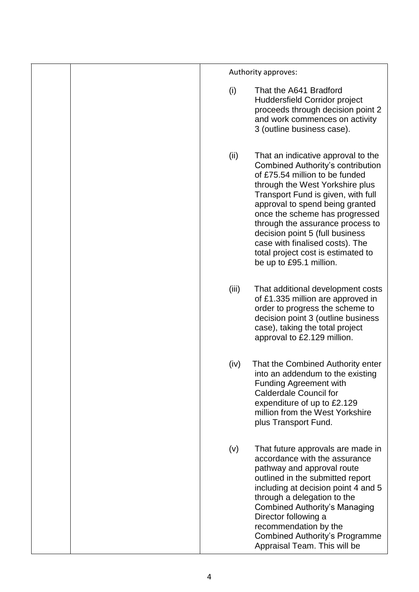|  |       | Authority approves:                                                                                                                                                                                                                                                                                                                                                                                                                       |
|--|-------|-------------------------------------------------------------------------------------------------------------------------------------------------------------------------------------------------------------------------------------------------------------------------------------------------------------------------------------------------------------------------------------------------------------------------------------------|
|  | (i)   | That the A641 Bradford<br><b>Huddersfield Corridor project</b><br>proceeds through decision point 2<br>and work commences on activity<br>3 (outline business case).                                                                                                                                                                                                                                                                       |
|  | (ii)  | That an indicative approval to the<br><b>Combined Authority's contribution</b><br>of £75.54 million to be funded<br>through the West Yorkshire plus<br>Transport Fund is given, with full<br>approval to spend being granted<br>once the scheme has progressed<br>through the assurance process to<br>decision point 5 (full business<br>case with finalised costs). The<br>total project cost is estimated to<br>be up to £95.1 million. |
|  | (iii) | That additional development costs<br>of £1.335 million are approved in<br>order to progress the scheme to<br>decision point 3 (outline business<br>case), taking the total project<br>approval to £2.129 million.                                                                                                                                                                                                                         |
|  | (iv)  | That the Combined Authority enter<br>into an addendum to the existing<br><b>Funding Agreement with</b><br><b>Calderdale Council for</b><br>expenditure of up to £2.129<br>million from the West Yorkshire<br>plus Transport Fund.                                                                                                                                                                                                         |
|  | (v)   | That future approvals are made in<br>accordance with the assurance<br>pathway and approval route<br>outlined in the submitted report<br>including at decision point 4 and 5<br>through a delegation to the<br><b>Combined Authority's Managing</b><br>Director following a<br>recommendation by the<br><b>Combined Authority's Programme</b><br>Appraisal Team. This will be                                                              |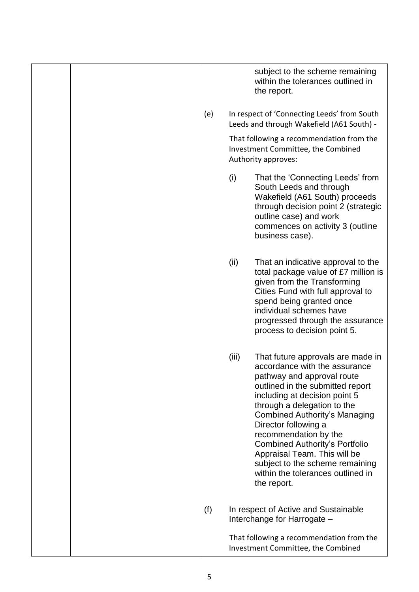|  |     |       | subject to the scheme remaining<br>within the tolerances outlined in<br>the report.                                                                                                                                                                                                                                                                                                                                                                           |
|--|-----|-------|---------------------------------------------------------------------------------------------------------------------------------------------------------------------------------------------------------------------------------------------------------------------------------------------------------------------------------------------------------------------------------------------------------------------------------------------------------------|
|  | (e) |       | In respect of 'Connecting Leeds' from South<br>Leeds and through Wakefield (A61 South) -                                                                                                                                                                                                                                                                                                                                                                      |
|  |     |       | That following a recommendation from the<br>Investment Committee, the Combined<br>Authority approves:                                                                                                                                                                                                                                                                                                                                                         |
|  |     | (i)   | That the 'Connecting Leeds' from<br>South Leeds and through<br>Wakefield (A61 South) proceeds<br>through decision point 2 (strategic<br>outline case) and work<br>commences on activity 3 (outline<br>business case).                                                                                                                                                                                                                                         |
|  |     | (ii)  | That an indicative approval to the<br>total package value of £7 million is<br>given from the Transforming<br>Cities Fund with full approval to<br>spend being granted once<br>individual schemes have<br>progressed through the assurance<br>process to decision point 5.                                                                                                                                                                                     |
|  |     | (iii) | That future approvals are made in<br>accordance with the assurance<br>pathway and approval route<br>outlined in the submitted report<br>including at decision point 5<br>through a delegation to the<br><b>Combined Authority's Managing</b><br>Director following a<br>recommendation by the<br><b>Combined Authority's Portfolio</b><br>Appraisal Team. This will be<br>subject to the scheme remaining<br>within the tolerances outlined in<br>the report. |
|  | (f) |       | In respect of Active and Sustainable<br>Interchange for Harrogate -                                                                                                                                                                                                                                                                                                                                                                                           |
|  |     |       | That following a recommendation from the<br>Investment Committee, the Combined                                                                                                                                                                                                                                                                                                                                                                                |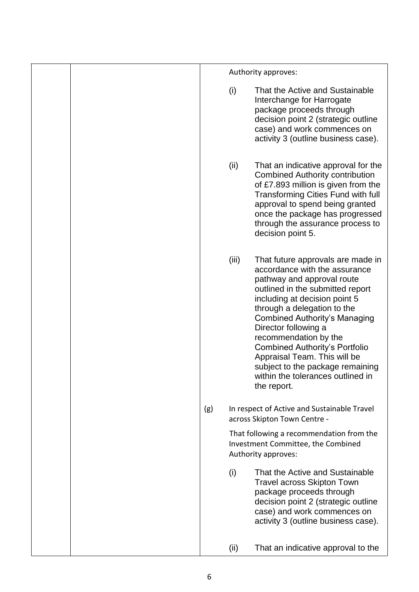|  |     |       | Authority approves:                                                                                                                                                                                                                                                                                                                                                                                                                                            |
|--|-----|-------|----------------------------------------------------------------------------------------------------------------------------------------------------------------------------------------------------------------------------------------------------------------------------------------------------------------------------------------------------------------------------------------------------------------------------------------------------------------|
|  |     | (i)   | That the Active and Sustainable<br>Interchange for Harrogate<br>package proceeds through<br>decision point 2 (strategic outline<br>case) and work commences on<br>activity 3 (outline business case).                                                                                                                                                                                                                                                          |
|  |     | (ii)  | That an indicative approval for the<br><b>Combined Authority contribution</b><br>of £7.893 million is given from the<br><b>Transforming Cities Fund with full</b><br>approval to spend being granted<br>once the package has progressed<br>through the assurance process to<br>decision point 5.                                                                                                                                                               |
|  |     | (iii) | That future approvals are made in<br>accordance with the assurance<br>pathway and approval route<br>outlined in the submitted report<br>including at decision point 5<br>through a delegation to the<br><b>Combined Authority's Managing</b><br>Director following a<br>recommendation by the<br><b>Combined Authority's Portfolio</b><br>Appraisal Team. This will be<br>subject to the package remaining<br>within the tolerances outlined in<br>the report. |
|  | (g) |       | In respect of Active and Sustainable Travel<br>across Skipton Town Centre -                                                                                                                                                                                                                                                                                                                                                                                    |
|  |     |       | That following a recommendation from the<br>Investment Committee, the Combined<br>Authority approves:                                                                                                                                                                                                                                                                                                                                                          |
|  |     | (i)   | That the Active and Sustainable<br><b>Travel across Skipton Town</b><br>package proceeds through<br>decision point 2 (strategic outline<br>case) and work commences on<br>activity 3 (outline business case).                                                                                                                                                                                                                                                  |
|  |     | (ii)  | That an indicative approval to the                                                                                                                                                                                                                                                                                                                                                                                                                             |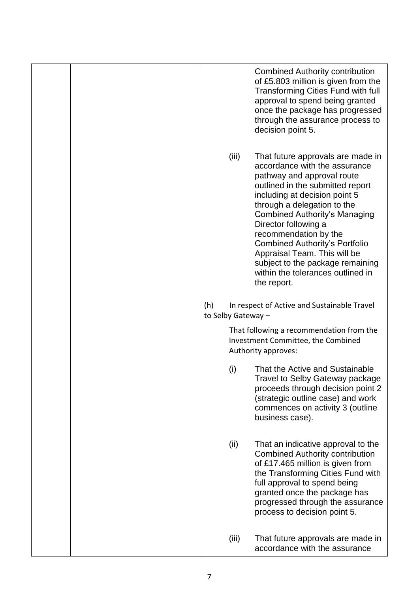| <b>Combined Authority contribution</b><br>of £5.803 million is given from the<br><b>Transforming Cities Fund with full</b><br>approval to spend being granted<br>once the package has progressed<br>through the assurance process to<br>decision point 5.                                                                                                                                                                                                               |
|-------------------------------------------------------------------------------------------------------------------------------------------------------------------------------------------------------------------------------------------------------------------------------------------------------------------------------------------------------------------------------------------------------------------------------------------------------------------------|
| (iii)<br>That future approvals are made in<br>accordance with the assurance<br>pathway and approval route<br>outlined in the submitted report<br>including at decision point 5<br>through a delegation to the<br><b>Combined Authority's Managing</b><br>Director following a<br>recommendation by the<br><b>Combined Authority's Portfolio</b><br>Appraisal Team. This will be<br>subject to the package remaining<br>within the tolerances outlined in<br>the report. |
| (h)<br>In respect of Active and Sustainable Travel<br>to Selby Gateway -                                                                                                                                                                                                                                                                                                                                                                                                |
| That following a recommendation from the<br>Investment Committee, the Combined<br>Authority approves:                                                                                                                                                                                                                                                                                                                                                                   |
| That the Active and Sustainable<br>(i)<br>Travel to Selby Gateway package<br>proceeds through decision point 2<br>(strategic outline case) and work<br>commences on activity 3 (outline<br>business case).                                                                                                                                                                                                                                                              |
| (ii)<br>That an indicative approval to the<br><b>Combined Authority contribution</b><br>of £17.465 million is given from<br>the Transforming Cities Fund with<br>full approval to spend being<br>granted once the package has<br>progressed through the assurance<br>process to decision point 5.                                                                                                                                                                       |
| (iii)<br>That future approvals are made in<br>accordance with the assurance                                                                                                                                                                                                                                                                                                                                                                                             |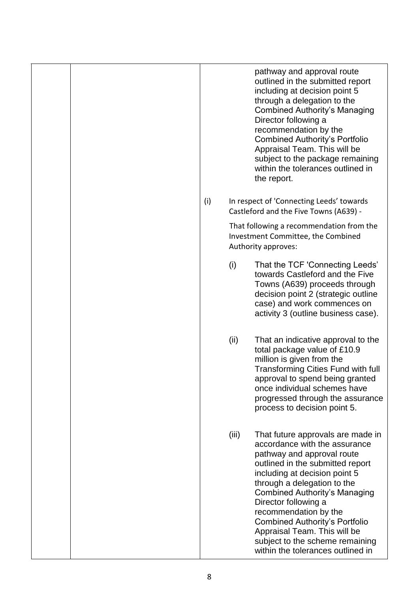|     | pathway and approval route<br>outlined in the submitted report<br>including at decision point 5<br>through a delegation to the<br><b>Combined Authority's Managing</b><br>Director following a<br>recommendation by the<br><b>Combined Authority's Portfolio</b><br>Appraisal Team. This will be<br>subject to the package remaining<br>within the tolerances outlined in<br>the report.                                                                |
|-----|---------------------------------------------------------------------------------------------------------------------------------------------------------------------------------------------------------------------------------------------------------------------------------------------------------------------------------------------------------------------------------------------------------------------------------------------------------|
| (i) | In respect of 'Connecting Leeds' towards<br>Castleford and the Five Towns (A639) -                                                                                                                                                                                                                                                                                                                                                                      |
|     | That following a recommendation from the<br>Investment Committee, the Combined<br>Authority approves:                                                                                                                                                                                                                                                                                                                                                   |
|     | (i)<br>That the TCF 'Connecting Leeds'<br>towards Castleford and the Five<br>Towns (A639) proceeds through<br>decision point 2 (strategic outline<br>case) and work commences on<br>activity 3 (outline business case).                                                                                                                                                                                                                                 |
|     | (ii)<br>That an indicative approval to the<br>total package value of £10.9<br>million is given from the<br>Transforming Cities Fund with full<br>approval to spend being granted<br>once individual schemes have<br>progressed through the assurance<br>process to decision point 5.                                                                                                                                                                    |
|     | (iii)<br>That future approvals are made in<br>accordance with the assurance<br>pathway and approval route<br>outlined in the submitted report<br>including at decision point 5<br>through a delegation to the<br><b>Combined Authority's Managing</b><br>Director following a<br>recommendation by the<br><b>Combined Authority's Portfolio</b><br>Appraisal Team. This will be<br>subject to the scheme remaining<br>within the tolerances outlined in |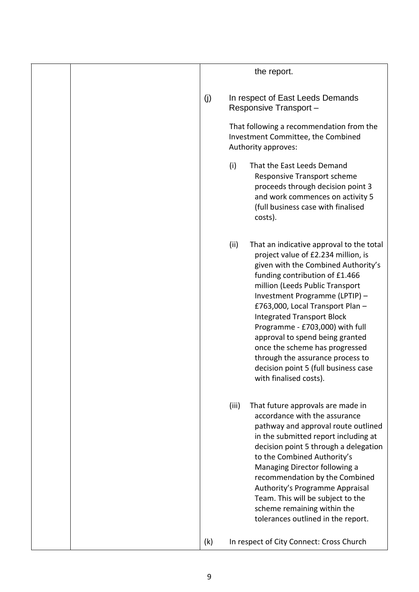|     | the report.                                                                                                                                                                                                                                                                                                                                                                                                                                                                                                                  |
|-----|------------------------------------------------------------------------------------------------------------------------------------------------------------------------------------------------------------------------------------------------------------------------------------------------------------------------------------------------------------------------------------------------------------------------------------------------------------------------------------------------------------------------------|
| (j) | In respect of East Leeds Demands<br>Responsive Transport-<br>That following a recommendation from the<br>Investment Committee, the Combined<br>Authority approves:                                                                                                                                                                                                                                                                                                                                                           |
|     | (i)<br>That the East Leeds Demand<br><b>Responsive Transport scheme</b><br>proceeds through decision point 3<br>and work commences on activity 5<br>(full business case with finalised<br>costs).                                                                                                                                                                                                                                                                                                                            |
|     | (ii)<br>That an indicative approval to the total<br>project value of £2.234 million, is<br>given with the Combined Authority's<br>funding contribution of £1.466<br>million (Leeds Public Transport<br>Investment Programme (LPTIP) -<br>£763,000, Local Transport Plan -<br><b>Integrated Transport Block</b><br>Programme - £703,000) with full<br>approval to spend being granted<br>once the scheme has progressed<br>through the assurance process to<br>decision point 5 (full business case<br>with finalised costs). |
|     | (iii)<br>That future approvals are made in<br>accordance with the assurance<br>pathway and approval route outlined<br>in the submitted report including at<br>decision point 5 through a delegation<br>to the Combined Authority's<br>Managing Director following a<br>recommendation by the Combined<br>Authority's Programme Appraisal<br>Team. This will be subject to the<br>scheme remaining within the<br>tolerances outlined in the report.                                                                           |
| (k) | In respect of City Connect: Cross Church                                                                                                                                                                                                                                                                                                                                                                                                                                                                                     |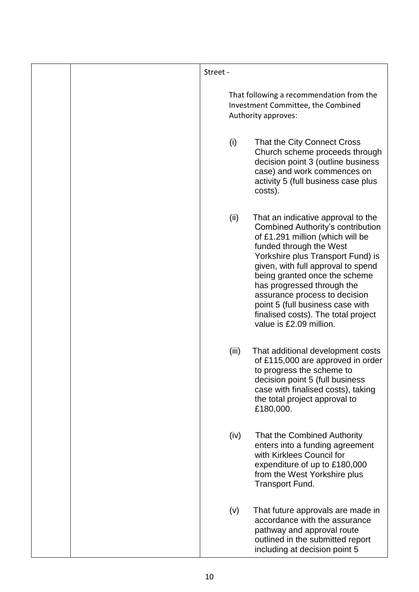|  | Street - |       |                                                                                                                                                                                                                                                                                                                                                                                                                                |
|--|----------|-------|--------------------------------------------------------------------------------------------------------------------------------------------------------------------------------------------------------------------------------------------------------------------------------------------------------------------------------------------------------------------------------------------------------------------------------|
|  |          |       | That following a recommendation from the<br>Investment Committee, the Combined<br>Authority approves:                                                                                                                                                                                                                                                                                                                          |
|  |          | (i)   | That the City Connect Cross<br>Church scheme proceeds through<br>decision point 3 (outline business<br>case) and work commences on<br>activity 5 (full business case plus<br>costs).                                                                                                                                                                                                                                           |
|  |          | (ii)  | That an indicative approval to the<br><b>Combined Authority's contribution</b><br>of £1.291 million (which will be<br>funded through the West<br>Yorkshire plus Transport Fund) is<br>given, with full approval to spend<br>being granted once the scheme<br>has progressed through the<br>assurance process to decision<br>point 5 (full business case with<br>finalised costs). The total project<br>value is £2.09 million. |
|  |          | (iii) | That additional development costs<br>of £115,000 are approved in order<br>to progress the scheme to<br>decision point 5 (full business<br>case with finalised costs), taking<br>the total project approval to<br>£180,000.                                                                                                                                                                                                     |
|  |          | (iv)  | That the Combined Authority<br>enters into a funding agreement<br>with Kirklees Council for<br>expenditure of up to £180,000<br>from the West Yorkshire plus<br>Transport Fund.                                                                                                                                                                                                                                                |
|  |          | (v)   | That future approvals are made in<br>accordance with the assurance<br>pathway and approval route<br>outlined in the submitted report<br>including at decision point 5                                                                                                                                                                                                                                                          |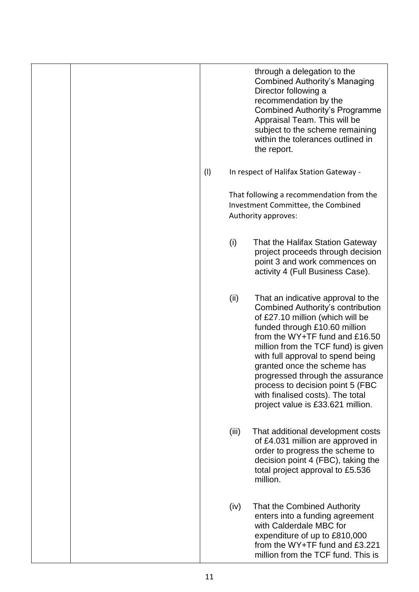|  |     | through a delegation to the<br><b>Combined Authority's Managing</b><br>Director following a<br>recommendation by the<br><b>Combined Authority's Programme</b><br>Appraisal Team. This will be<br>subject to the scheme remaining<br>within the tolerances outlined in<br>the report.                                                                                                                                                                      |
|--|-----|-----------------------------------------------------------------------------------------------------------------------------------------------------------------------------------------------------------------------------------------------------------------------------------------------------------------------------------------------------------------------------------------------------------------------------------------------------------|
|  | (1) | In respect of Halifax Station Gateway -                                                                                                                                                                                                                                                                                                                                                                                                                   |
|  |     | That following a recommendation from the<br>Investment Committee, the Combined<br>Authority approves:                                                                                                                                                                                                                                                                                                                                                     |
|  |     | That the Halifax Station Gateway<br>(i)<br>project proceeds through decision<br>point 3 and work commences on<br>activity 4 (Full Business Case).                                                                                                                                                                                                                                                                                                         |
|  |     | That an indicative approval to the<br>(ii)<br><b>Combined Authority's contribution</b><br>of £27.10 million (which will be<br>funded through £10.60 million<br>from the WY+TF fund and £16.50<br>million from the TCF fund) is given<br>with full approval to spend being<br>granted once the scheme has<br>progressed through the assurance<br>process to decision point 5 (FBC<br>with finalised costs). The total<br>project value is £33.621 million. |
|  |     | (iii)<br>That additional development costs<br>of £4.031 million are approved in<br>order to progress the scheme to<br>decision point 4 (FBC), taking the<br>total project approval to £5.536<br>million.                                                                                                                                                                                                                                                  |
|  |     | (iv)<br>That the Combined Authority<br>enters into a funding agreement<br>with Calderdale MBC for<br>expenditure of up to £810,000<br>from the WY+TF fund and £3.221<br>million from the TCF fund. This is                                                                                                                                                                                                                                                |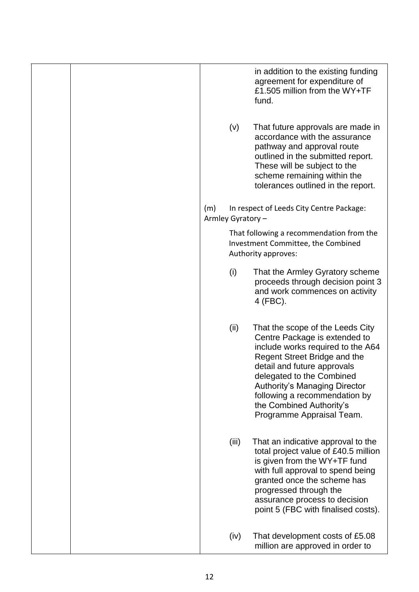|  |                          |       | in addition to the existing funding<br>agreement for expenditure of<br>£1.505 million from the WY+TF<br>fund.                                                                                                                                                                                                                        |
|--|--------------------------|-------|--------------------------------------------------------------------------------------------------------------------------------------------------------------------------------------------------------------------------------------------------------------------------------------------------------------------------------------|
|  |                          | (v)   | That future approvals are made in<br>accordance with the assurance<br>pathway and approval route<br>outlined in the submitted report.<br>These will be subject to the<br>scheme remaining within the<br>tolerances outlined in the report.                                                                                           |
|  | (m)<br>Armley Gyratory - |       | In respect of Leeds City Centre Package:                                                                                                                                                                                                                                                                                             |
|  |                          |       | That following a recommendation from the<br>Investment Committee, the Combined<br>Authority approves:                                                                                                                                                                                                                                |
|  |                          | (i)   | That the Armley Gyratory scheme<br>proceeds through decision point 3<br>and work commences on activity<br>4 (FBC).                                                                                                                                                                                                                   |
|  |                          | (ii)  | That the scope of the Leeds City<br>Centre Package is extended to<br>include works required to the A64<br>Regent Street Bridge and the<br>detail and future approvals<br>delegated to the Combined<br><b>Authority's Managing Director</b><br>following a recommendation by<br>the Combined Authority's<br>Programme Appraisal Team. |
|  |                          | (iii) | That an indicative approval to the<br>total project value of £40.5 million<br>is given from the WY+TF fund<br>with full approval to spend being<br>granted once the scheme has<br>progressed through the<br>assurance process to decision<br>point 5 (FBC with finalised costs).                                                     |
|  |                          | (iv)  | That development costs of £5.08<br>million are approved in order to                                                                                                                                                                                                                                                                  |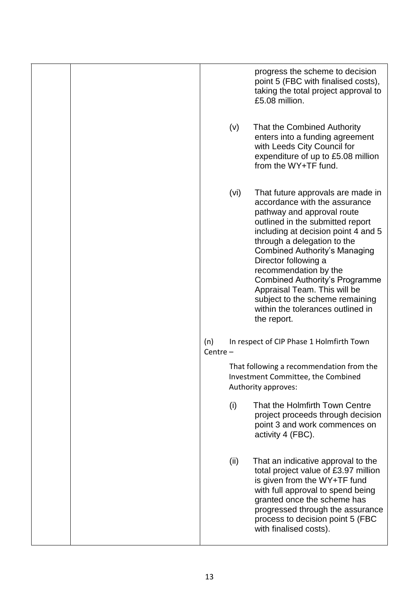|  |                   |      | progress the scheme to decision<br>point 5 (FBC with finalised costs),<br>taking the total project approval to<br>£5.08 million.                                                                                                                                                                                                                                                                                                                                    |
|--|-------------------|------|---------------------------------------------------------------------------------------------------------------------------------------------------------------------------------------------------------------------------------------------------------------------------------------------------------------------------------------------------------------------------------------------------------------------------------------------------------------------|
|  |                   | (v)  | That the Combined Authority<br>enters into a funding agreement<br>with Leeds City Council for<br>expenditure of up to £5.08 million<br>from the WY+TF fund.                                                                                                                                                                                                                                                                                                         |
|  |                   | (vi) | That future approvals are made in<br>accordance with the assurance<br>pathway and approval route<br>outlined in the submitted report<br>including at decision point 4 and 5<br>through a delegation to the<br><b>Combined Authority's Managing</b><br>Director following a<br>recommendation by the<br><b>Combined Authority's Programme</b><br>Appraisal Team. This will be<br>subject to the scheme remaining<br>within the tolerances outlined in<br>the report. |
|  | (n)<br>Centre $-$ |      | In respect of CIP Phase 1 Holmfirth Town                                                                                                                                                                                                                                                                                                                                                                                                                            |
|  |                   |      | That following a recommendation from the<br>Investment Committee, the Combined<br>Authority approves:                                                                                                                                                                                                                                                                                                                                                               |
|  |                   | (i)  | That the Holmfirth Town Centre<br>project proceeds through decision<br>point 3 and work commences on<br>activity 4 (FBC).                                                                                                                                                                                                                                                                                                                                           |
|  |                   | (ii) | That an indicative approval to the<br>total project value of £3.97 million<br>is given from the WY+TF fund<br>with full approval to spend being<br>granted once the scheme has<br>progressed through the assurance<br>process to decision point 5 (FBC<br>with finalised costs).                                                                                                                                                                                    |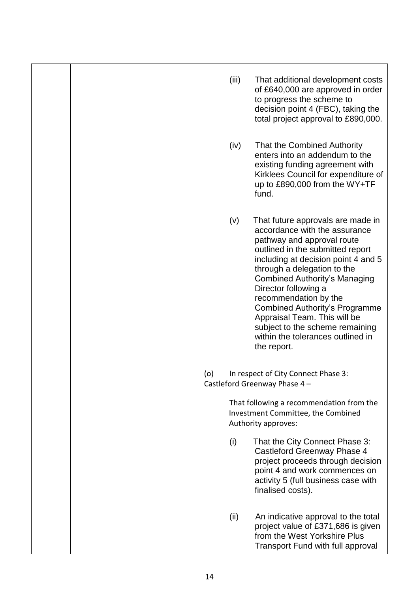|  |     | (iii) | That additional development costs<br>of £640,000 are approved in order                                                                                                                                                                                                                                                                                                                                                                                              |
|--|-----|-------|---------------------------------------------------------------------------------------------------------------------------------------------------------------------------------------------------------------------------------------------------------------------------------------------------------------------------------------------------------------------------------------------------------------------------------------------------------------------|
|  |     |       | to progress the scheme to<br>decision point 4 (FBC), taking the<br>total project approval to £890,000.                                                                                                                                                                                                                                                                                                                                                              |
|  |     | (iv)  | That the Combined Authority<br>enters into an addendum to the<br>existing funding agreement with<br>Kirklees Council for expenditure of<br>up to £890,000 from the WY+TF<br>fund.                                                                                                                                                                                                                                                                                   |
|  |     | (v)   | That future approvals are made in<br>accordance with the assurance<br>pathway and approval route<br>outlined in the submitted report<br>including at decision point 4 and 5<br>through a delegation to the<br><b>Combined Authority's Managing</b><br>Director following a<br>recommendation by the<br><b>Combined Authority's Programme</b><br>Appraisal Team. This will be<br>subject to the scheme remaining<br>within the tolerances outlined in<br>the report. |
|  | (o) |       | In respect of City Connect Phase 3:<br>Castleford Greenway Phase 4 -                                                                                                                                                                                                                                                                                                                                                                                                |
|  |     |       | That following a recommendation from the<br>Investment Committee, the Combined<br>Authority approves:                                                                                                                                                                                                                                                                                                                                                               |
|  |     | (i)   | That the City Connect Phase 3:<br>Castleford Greenway Phase 4<br>project proceeds through decision<br>point 4 and work commences on<br>activity 5 (full business case with<br>finalised costs).                                                                                                                                                                                                                                                                     |
|  |     | (ii)  | An indicative approval to the total<br>project value of £371,686 is given<br>from the West Yorkshire Plus<br>Transport Fund with full approval                                                                                                                                                                                                                                                                                                                      |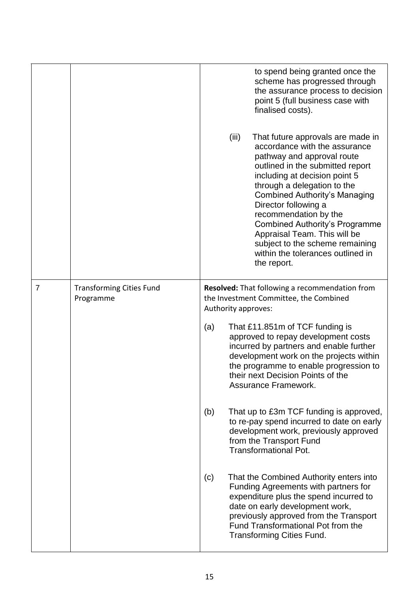|   |                                              |     | to spend being granted once the<br>scheme has progressed through<br>the assurance process to decision<br>point 5 (full business case with<br>finalised costs).                                                                                                                                                                                                                                                                                                         |
|---|----------------------------------------------|-----|------------------------------------------------------------------------------------------------------------------------------------------------------------------------------------------------------------------------------------------------------------------------------------------------------------------------------------------------------------------------------------------------------------------------------------------------------------------------|
|   |                                              |     | (iii)<br>That future approvals are made in<br>accordance with the assurance<br>pathway and approval route<br>outlined in the submitted report<br>including at decision point 5<br>through a delegation to the<br><b>Combined Authority's Managing</b><br>Director following a<br>recommendation by the<br><b>Combined Authority's Programme</b><br>Appraisal Team. This will be<br>subject to the scheme remaining<br>within the tolerances outlined in<br>the report. |
| 7 | <b>Transforming Cities Fund</b><br>Programme |     | Resolved: That following a recommendation from<br>the Investment Committee, the Combined<br>Authority approves:                                                                                                                                                                                                                                                                                                                                                        |
|   |                                              | (a) | That £11.851m of TCF funding is<br>approved to repay development costs<br>incurred by partners and enable further<br>development work on the projects within<br>the programme to enable progression to<br>their next Decision Points of the<br>Assurance Framework.                                                                                                                                                                                                    |
|   |                                              | (b) | That up to £3m TCF funding is approved,<br>to re-pay spend incurred to date on early<br>development work, previously approved<br>from the Transport Fund<br><b>Transformational Pot.</b>                                                                                                                                                                                                                                                                               |
|   |                                              | (c) | That the Combined Authority enters into<br>Funding Agreements with partners for<br>expenditure plus the spend incurred to<br>date on early development work,<br>previously approved from the Transport<br>Fund Transformational Pot from the<br><b>Transforming Cities Fund.</b>                                                                                                                                                                                       |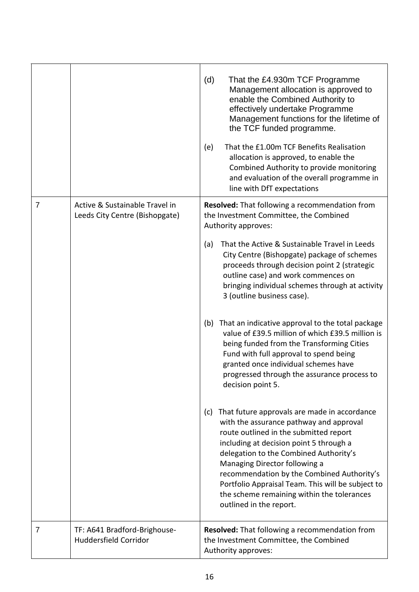|   |                                                                  | (d)<br>That the £4.930m TCF Programme<br>Management allocation is approved to<br>enable the Combined Authority to<br>effectively undertake Programme<br>Management functions for the lifetime of<br>the TCF funded programme.<br>That the £1.00m TCF Benefits Realisation<br>(e)<br>allocation is approved, to enable the<br>Combined Authority to provide monitoring<br>and evaluation of the overall programme in<br>line with DfT expectations                                                                                                                                                                                                                                                                                                                                                                                                                                                                                                                                                                                                                                                                                                              |
|---|------------------------------------------------------------------|----------------------------------------------------------------------------------------------------------------------------------------------------------------------------------------------------------------------------------------------------------------------------------------------------------------------------------------------------------------------------------------------------------------------------------------------------------------------------------------------------------------------------------------------------------------------------------------------------------------------------------------------------------------------------------------------------------------------------------------------------------------------------------------------------------------------------------------------------------------------------------------------------------------------------------------------------------------------------------------------------------------------------------------------------------------------------------------------------------------------------------------------------------------|
| 7 | Active & Sustainable Travel in<br>Leeds City Centre (Bishopgate) | Resolved: That following a recommendation from<br>the Investment Committee, the Combined<br>Authority approves:<br>That the Active & Sustainable Travel in Leeds<br>(a)<br>City Centre (Bishopgate) package of schemes<br>proceeds through decision point 2 (strategic<br>outline case) and work commences on<br>bringing individual schemes through at activity<br>3 (outline business case).<br>That an indicative approval to the total package<br>(b)<br>value of £39.5 million of which £39.5 million is<br>being funded from the Transforming Cities<br>Fund with full approval to spend being<br>granted once individual schemes have<br>progressed through the assurance process to<br>decision point 5.<br>That future approvals are made in accordance<br>(c)<br>with the assurance pathway and approval<br>route outlined in the submitted report<br>including at decision point 5 through a<br>delegation to the Combined Authority's<br>Managing Director following a<br>recommendation by the Combined Authority's<br>Portfolio Appraisal Team. This will be subject to<br>the scheme remaining within the tolerances<br>outlined in the report. |
| 7 | TF: A641 Bradford-Brighouse-<br>Huddersfield Corridor            | Resolved: That following a recommendation from<br>the Investment Committee, the Combined<br>Authority approves:                                                                                                                                                                                                                                                                                                                                                                                                                                                                                                                                                                                                                                                                                                                                                                                                                                                                                                                                                                                                                                                |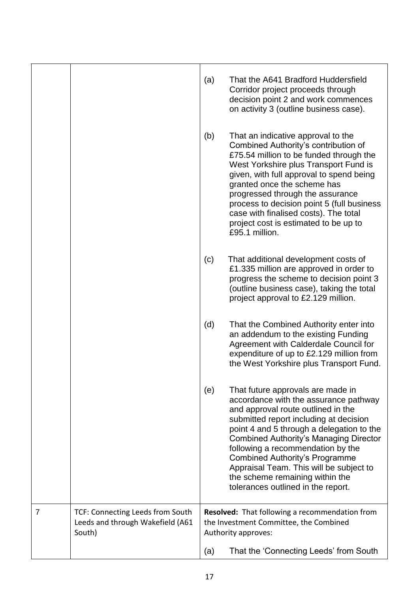|   |                                                                                | (a) | That the A641 Bradford Huddersfield<br>Corridor project proceeds through<br>decision point 2 and work commences<br>on activity 3 (outline business case).                                                                                                                                                                                                                                                                                                  |
|---|--------------------------------------------------------------------------------|-----|------------------------------------------------------------------------------------------------------------------------------------------------------------------------------------------------------------------------------------------------------------------------------------------------------------------------------------------------------------------------------------------------------------------------------------------------------------|
|   |                                                                                | (b) | That an indicative approval to the<br>Combined Authority's contribution of<br>£75.54 million to be funded through the<br>West Yorkshire plus Transport Fund is<br>given, with full approval to spend being<br>granted once the scheme has<br>progressed through the assurance<br>process to decision point 5 (full business<br>case with finalised costs). The total<br>project cost is estimated to be up to<br>£95.1 million.                            |
|   |                                                                                | (c) | That additional development costs of<br>£1.335 million are approved in order to<br>progress the scheme to decision point 3<br>(outline business case), taking the total<br>project approval to £2.129 million.                                                                                                                                                                                                                                             |
|   |                                                                                | (d) | That the Combined Authority enter into<br>an addendum to the existing Funding<br>Agreement with Calderdale Council for<br>expenditure of up to £2.129 million from<br>the West Yorkshire plus Transport Fund.                                                                                                                                                                                                                                              |
|   |                                                                                | (e) | That future approvals are made in<br>accordance with the assurance pathway<br>and approval route outlined in the<br>submitted report including at decision<br>point 4 and 5 through a delegation to the<br><b>Combined Authority's Managing Director</b><br>following a recommendation by the<br><b>Combined Authority's Programme</b><br>Appraisal Team. This will be subject to<br>the scheme remaining within the<br>tolerances outlined in the report. |
| 7 | TCF: Connecting Leeds from South<br>Leeds and through Wakefield (A61<br>South) |     | <b>Resolved:</b> That following a recommendation from<br>the Investment Committee, the Combined<br>Authority approves:                                                                                                                                                                                                                                                                                                                                     |
|   |                                                                                | (a) | That the 'Connecting Leeds' from South                                                                                                                                                                                                                                                                                                                                                                                                                     |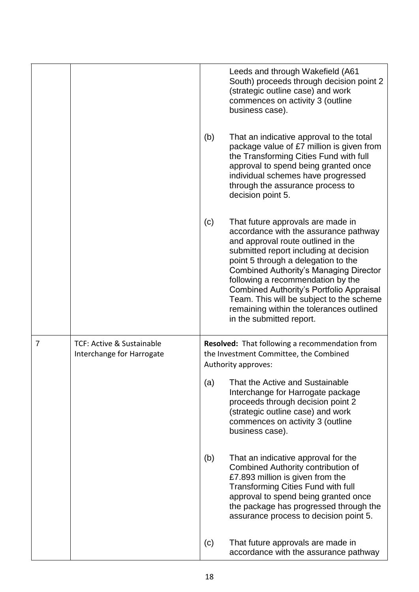|                |                                                        | (b) | Leeds and through Wakefield (A61<br>South) proceeds through decision point 2<br>(strategic outline case) and work<br>commences on activity 3 (outline<br>business case).<br>That an indicative approval to the total<br>package value of £7 million is given from<br>the Transforming Cities Fund with full<br>approval to spend being granted once<br>individual schemes have progressed<br>through the assurance process to<br>decision point 5.      |
|----------------|--------------------------------------------------------|-----|---------------------------------------------------------------------------------------------------------------------------------------------------------------------------------------------------------------------------------------------------------------------------------------------------------------------------------------------------------------------------------------------------------------------------------------------------------|
|                |                                                        | (c) | That future approvals are made in<br>accordance with the assurance pathway<br>and approval route outlined in the<br>submitted report including at decision<br>point 5 through a delegation to the<br><b>Combined Authority's Managing Director</b><br>following a recommendation by the<br>Combined Authority's Portfolio Appraisal<br>Team. This will be subject to the scheme<br>remaining within the tolerances outlined<br>in the submitted report. |
| $\overline{7}$ | TCF: Active & Sustainable<br>Interchange for Harrogate |     | Resolved: That following a recommendation from<br>the Investment Committee, the Combined<br>Authority approves:                                                                                                                                                                                                                                                                                                                                         |
|                |                                                        | (a) | That the Active and Sustainable<br>Interchange for Harrogate package<br>proceeds through decision point 2<br>(strategic outline case) and work<br>commences on activity 3 (outline<br>business case).                                                                                                                                                                                                                                                   |
|                |                                                        | (b) | That an indicative approval for the<br><b>Combined Authority contribution of</b><br>£7.893 million is given from the<br><b>Transforming Cities Fund with full</b><br>approval to spend being granted once<br>the package has progressed through the<br>assurance process to decision point 5.                                                                                                                                                           |
|                |                                                        | (c) | That future approvals are made in<br>accordance with the assurance pathway                                                                                                                                                                                                                                                                                                                                                                              |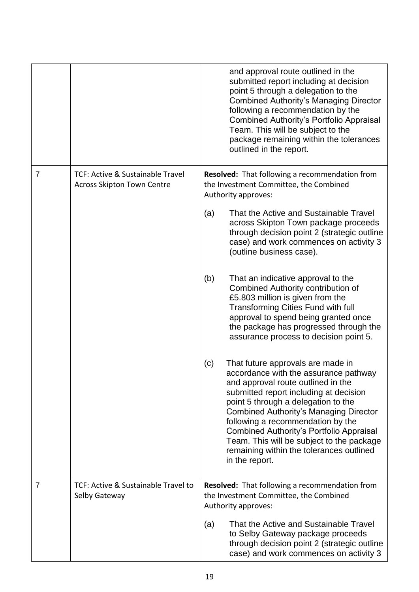|   |                                                                       | and approval route outlined in the<br>submitted report including at decision<br>point 5 through a delegation to the<br><b>Combined Authority's Managing Director</b><br>following a recommendation by the<br>Combined Authority's Portfolio Appraisal<br>Team. This will be subject to the<br>package remaining within the tolerances<br>outlined in the report.                                                                                      |
|---|-----------------------------------------------------------------------|-------------------------------------------------------------------------------------------------------------------------------------------------------------------------------------------------------------------------------------------------------------------------------------------------------------------------------------------------------------------------------------------------------------------------------------------------------|
| 7 | TCF: Active & Sustainable Travel<br><b>Across Skipton Town Centre</b> | <b>Resolved:</b> That following a recommendation from<br>the Investment Committee, the Combined<br>Authority approves:<br>That the Active and Sustainable Travel<br>(a)<br>across Skipton Town package proceeds<br>through decision point 2 (strategic outline<br>case) and work commences on activity 3                                                                                                                                              |
|   |                                                                       | (outline business case).<br>(b)<br>That an indicative approval to the<br>Combined Authority contribution of<br>£5.803 million is given from the<br><b>Transforming Cities Fund with full</b><br>approval to spend being granted once<br>the package has progressed through the<br>assurance process to decision point 5.                                                                                                                              |
|   |                                                                       | (c)<br>That future approvals are made in<br>accordance with the assurance pathway<br>and approval route outlined in the<br>submitted report including at decision<br>point 5 through a delegation to the<br><b>Combined Authority's Managing Director</b><br>following a recommendation by the<br>Combined Authority's Portfolio Appraisal<br>Team. This will be subject to the package<br>remaining within the tolerances outlined<br>in the report. |
| 7 | TCF: Active & Sustainable Travel to<br>Selby Gateway                  | <b>Resolved:</b> That following a recommendation from<br>the Investment Committee, the Combined<br>Authority approves:                                                                                                                                                                                                                                                                                                                                |
|   |                                                                       | That the Active and Sustainable Travel<br>(a)<br>to Selby Gateway package proceeds<br>through decision point 2 (strategic outline<br>case) and work commences on activity 3                                                                                                                                                                                                                                                                           |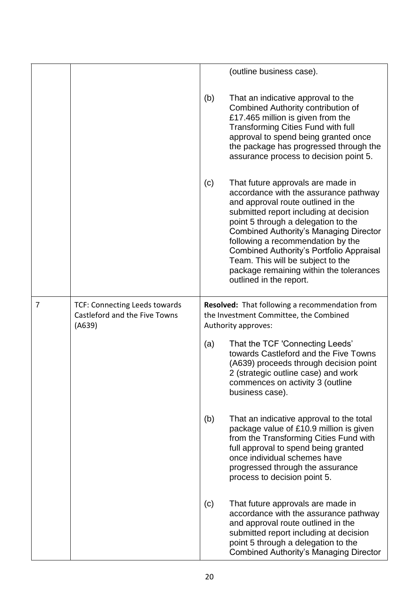|                |                                                                                 |     | (outline business case).                                                                                                                                                                                                                                                                                                                                                                                                                              |
|----------------|---------------------------------------------------------------------------------|-----|-------------------------------------------------------------------------------------------------------------------------------------------------------------------------------------------------------------------------------------------------------------------------------------------------------------------------------------------------------------------------------------------------------------------------------------------------------|
|                |                                                                                 | (b) | That an indicative approval to the<br><b>Combined Authority contribution of</b><br>£17.465 million is given from the<br><b>Transforming Cities Fund with full</b><br>approval to spend being granted once<br>the package has progressed through the<br>assurance process to decision point 5.                                                                                                                                                         |
|                |                                                                                 | (c) | That future approvals are made in<br>accordance with the assurance pathway<br>and approval route outlined in the<br>submitted report including at decision<br>point 5 through a delegation to the<br><b>Combined Authority's Managing Director</b><br>following a recommendation by the<br><b>Combined Authority's Portfolio Appraisal</b><br>Team. This will be subject to the<br>package remaining within the tolerances<br>outlined in the report. |
| $\overline{7}$ | <b>TCF: Connecting Leeds towards</b><br>Castleford and the Five Towns<br>(A639) |     | Resolved: That following a recommendation from<br>the Investment Committee, the Combined<br>Authority approves:                                                                                                                                                                                                                                                                                                                                       |
|                |                                                                                 | (a) | That the TCF 'Connecting Leeds'<br>towards Castleford and the Five Towns<br>(A639) proceeds through decision point<br>2 (strategic outline case) and work<br>commences on activity 3 (outline<br>business case).                                                                                                                                                                                                                                      |
|                |                                                                                 | (b) | That an indicative approval to the total<br>package value of £10.9 million is given<br>from the Transforming Cities Fund with<br>full approval to spend being granted<br>once individual schemes have<br>progressed through the assurance<br>process to decision point 5.                                                                                                                                                                             |
|                |                                                                                 | (c) | That future approvals are made in<br>accordance with the assurance pathway<br>and approval route outlined in the<br>submitted report including at decision<br>point 5 through a delegation to the<br><b>Combined Authority's Managing Director</b>                                                                                                                                                                                                    |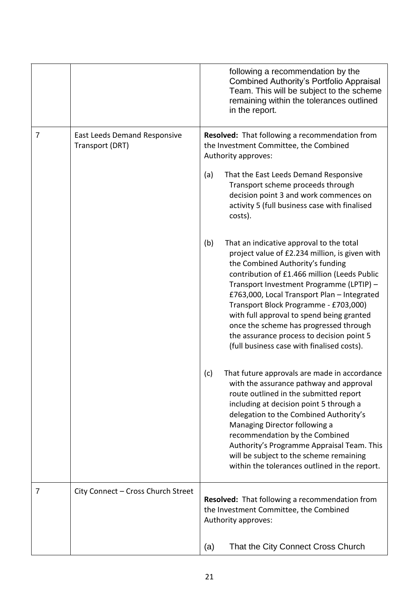|   |                                                        | following a recommendation by the<br>Combined Authority's Portfolio Appraisal<br>Team. This will be subject to the scheme<br>remaining within the tolerances outlined<br>in the report.                                                                                                                                                                                                                                                                                                                     |
|---|--------------------------------------------------------|-------------------------------------------------------------------------------------------------------------------------------------------------------------------------------------------------------------------------------------------------------------------------------------------------------------------------------------------------------------------------------------------------------------------------------------------------------------------------------------------------------------|
| 7 | <b>East Leeds Demand Responsive</b><br>Transport (DRT) | Resolved: That following a recommendation from<br>the Investment Committee, the Combined<br>Authority approves:                                                                                                                                                                                                                                                                                                                                                                                             |
|   |                                                        | (a)<br>That the East Leeds Demand Responsive<br>Transport scheme proceeds through<br>decision point 3 and work commences on<br>activity 5 (full business case with finalised<br>costs).                                                                                                                                                                                                                                                                                                                     |
|   |                                                        | (b)<br>That an indicative approval to the total<br>project value of £2.234 million, is given with<br>the Combined Authority's funding<br>contribution of £1.466 million (Leeds Public<br>Transport Investment Programme (LPTIP) -<br>£763,000, Local Transport Plan - Integrated<br>Transport Block Programme - £703,000)<br>with full approval to spend being granted<br>once the scheme has progressed through<br>the assurance process to decision point 5<br>(full business case with finalised costs). |
|   |                                                        | (c)<br>That future approvals are made in accordance<br>with the assurance pathway and approval<br>route outlined in the submitted report<br>including at decision point 5 through a<br>delegation to the Combined Authority's<br>Managing Director following a<br>recommendation by the Combined<br>Authority's Programme Appraisal Team. This<br>will be subject to the scheme remaining<br>within the tolerances outlined in the report.                                                                  |
| 7 | City Connect - Cross Church Street                     | <b>Resolved:</b> That following a recommendation from<br>the Investment Committee, the Combined<br>Authority approves:                                                                                                                                                                                                                                                                                                                                                                                      |
|   |                                                        | That the City Connect Cross Church<br>(a)                                                                                                                                                                                                                                                                                                                                                                                                                                                                   |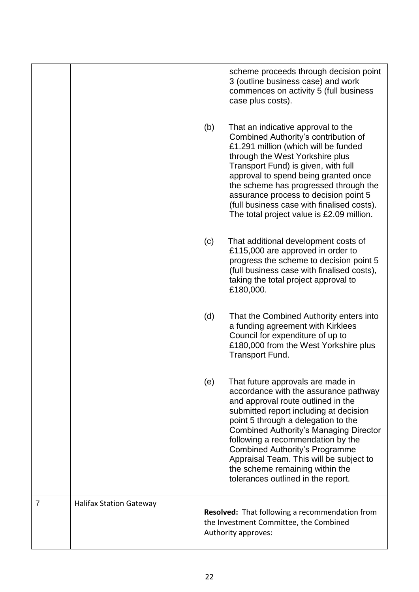|   |                                |     | scheme proceeds through decision point<br>3 (outline business case) and work<br>commences on activity 5 (full business<br>case plus costs).                                                                                                                                                                                                                                                                                                          |
|---|--------------------------------|-----|------------------------------------------------------------------------------------------------------------------------------------------------------------------------------------------------------------------------------------------------------------------------------------------------------------------------------------------------------------------------------------------------------------------------------------------------------|
|   |                                | (b) | That an indicative approval to the<br>Combined Authority's contribution of<br>£1.291 million (which will be funded<br>through the West Yorkshire plus<br>Transport Fund) is given, with full<br>approval to spend being granted once<br>the scheme has progressed through the<br>assurance process to decision point 5<br>(full business case with finalised costs).<br>The total project value is £2.09 million.                                    |
|   |                                | (c) | That additional development costs of<br>£115,000 are approved in order to<br>progress the scheme to decision point 5<br>(full business case with finalised costs),<br>taking the total project approval to<br>£180,000.                                                                                                                                                                                                                              |
|   |                                | (d) | That the Combined Authority enters into<br>a funding agreement with Kirklees<br>Council for expenditure of up to<br>£180,000 from the West Yorkshire plus<br><b>Transport Fund.</b>                                                                                                                                                                                                                                                                  |
|   |                                | (e) | That future approvals are made in<br>accordance with the assurance pathway<br>and approval route outlined in the<br>submitted report including at decision<br>point 5 through a delegation to the<br><b>Combined Authority's Managing Director</b><br>following a recommendation by the<br><b>Combined Authority's Programme</b><br>Appraisal Team. This will be subject to<br>the scheme remaining within the<br>tolerances outlined in the report. |
| 7 | <b>Halifax Station Gateway</b> |     | Resolved: That following a recommendation from<br>the Investment Committee, the Combined<br>Authority approves:                                                                                                                                                                                                                                                                                                                                      |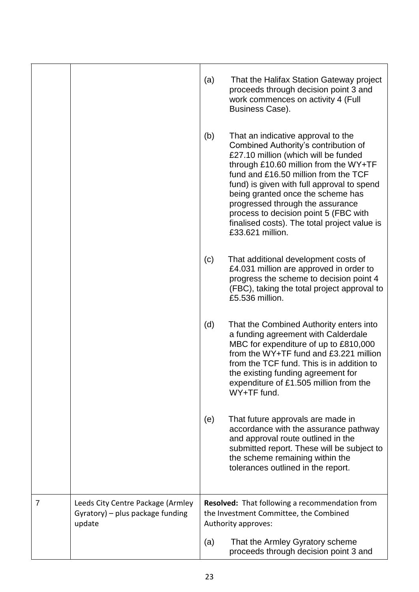|   |                                                                                 | (a) | That the Halifax Station Gateway project<br>proceeds through decision point 3 and<br>work commences on activity 4 (Full<br>Business Case).                                                                                                                                                                                                                                                                                              |
|---|---------------------------------------------------------------------------------|-----|-----------------------------------------------------------------------------------------------------------------------------------------------------------------------------------------------------------------------------------------------------------------------------------------------------------------------------------------------------------------------------------------------------------------------------------------|
|   |                                                                                 | (b) | That an indicative approval to the<br>Combined Authority's contribution of<br>£27.10 million (which will be funded<br>through £10.60 million from the WY+TF<br>fund and £16.50 million from the TCF<br>fund) is given with full approval to spend<br>being granted once the scheme has<br>progressed through the assurance<br>process to decision point 5 (FBC with<br>finalised costs). The total project value is<br>£33.621 million. |
|   |                                                                                 | (c) | That additional development costs of<br>£4.031 million are approved in order to<br>progress the scheme to decision point 4<br>(FBC), taking the total project approval to<br>£5.536 million.                                                                                                                                                                                                                                            |
|   |                                                                                 | (d) | That the Combined Authority enters into<br>a funding agreement with Calderdale<br>MBC for expenditure of up to £810,000<br>from the WY+TF fund and £3.221 million<br>from the TCF fund. This is in addition to<br>the existing funding agreement for<br>expenditure of £1.505 million from the<br>WY+TF fund.                                                                                                                           |
|   |                                                                                 | (e) | That future approvals are made in<br>accordance with the assurance pathway<br>and approval route outlined in the<br>submitted report. These will be subject to<br>the scheme remaining within the<br>tolerances outlined in the report.                                                                                                                                                                                                 |
| 7 | Leeds City Centre Package (Armley<br>Gyratory) – plus package funding<br>update |     | <b>Resolved:</b> That following a recommendation from<br>the Investment Committee, the Combined<br>Authority approves:                                                                                                                                                                                                                                                                                                                  |
|   |                                                                                 | (a) | That the Armley Gyratory scheme<br>proceeds through decision point 3 and                                                                                                                                                                                                                                                                                                                                                                |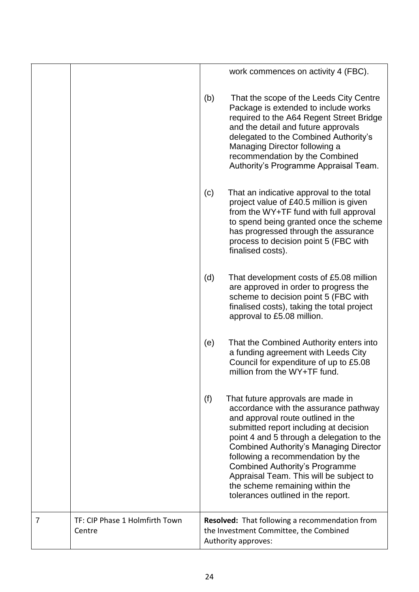|   |                                          |                                                                                                                        | work commences on activity 4 (FBC).                                                                                                                                                                                                                                                                                                                                                                                                                        |
|---|------------------------------------------|------------------------------------------------------------------------------------------------------------------------|------------------------------------------------------------------------------------------------------------------------------------------------------------------------------------------------------------------------------------------------------------------------------------------------------------------------------------------------------------------------------------------------------------------------------------------------------------|
|   |                                          | (b)                                                                                                                    | That the scope of the Leeds City Centre<br>Package is extended to include works<br>required to the A64 Regent Street Bridge<br>and the detail and future approvals<br>delegated to the Combined Authority's<br>Managing Director following a<br>recommendation by the Combined<br>Authority's Programme Appraisal Team.                                                                                                                                    |
|   |                                          | (c)                                                                                                                    | That an indicative approval to the total<br>project value of £40.5 million is given<br>from the WY+TF fund with full approval<br>to spend being granted once the scheme<br>has progressed through the assurance<br>process to decision point 5 (FBC with<br>finalised costs).                                                                                                                                                                              |
|   |                                          | (d)                                                                                                                    | That development costs of £5.08 million<br>are approved in order to progress the<br>scheme to decision point 5 (FBC with<br>finalised costs), taking the total project<br>approval to £5.08 million.                                                                                                                                                                                                                                                       |
|   |                                          | (e)                                                                                                                    | That the Combined Authority enters into<br>a funding agreement with Leeds City<br>Council for expenditure of up to £5.08<br>million from the WY+TF fund.                                                                                                                                                                                                                                                                                                   |
|   |                                          | (f)                                                                                                                    | That future approvals are made in<br>accordance with the assurance pathway<br>and approval route outlined in the<br>submitted report including at decision<br>point 4 and 5 through a delegation to the<br><b>Combined Authority's Managing Director</b><br>following a recommendation by the<br><b>Combined Authority's Programme</b><br>Appraisal Team. This will be subject to<br>the scheme remaining within the<br>tolerances outlined in the report. |
| 7 | TF: CIP Phase 1 Holmfirth Town<br>Centre | <b>Resolved:</b> That following a recommendation from<br>the Investment Committee, the Combined<br>Authority approves: |                                                                                                                                                                                                                                                                                                                                                                                                                                                            |